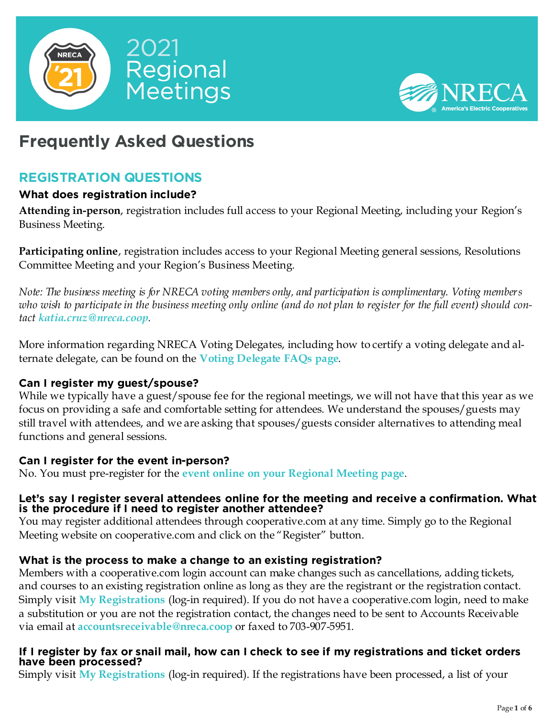



# **Frequently Asked Questions**

# **REGISTRATION QUESTIONS**

### **What does registration include?**

**Attending in-person**, registration includes full access to your Regional Meeting, including your Region's Business Meeting.

**Participating online**, registration includes access to your Regional Meeting general sessions, Resolutions Committee Meeting and your Region's Business Meeting.

*Note: The business meeting is for NRECA voting members only, and participation is complimentary. Voting members who wish to participate in the business meeting only online (and do not plan to register for the full event) should contact [katia.cruz@nreca.coop](mailto:katia.cruz@nreca.coop).*

More information regarding NRECA Voting Delegates, including how to certify a voting delegate and alternate delegate, can be found on the **[Voting Delegate FAQs page](https://www.cooperative.com/nreca/member-resolutions/Pages/Secure/Voting-Delegate-FAQs.aspx)**.

### **Can I register my guest/spouse?**

While we typically have a guest/spouse fee for the regional meetings, we will not have that this year as we focus on providing a safe and comfortable setting for attendees. We understand the spouses/guests may still travel with attendees, and we are asking that spouses/guests consider alternatives to attending meal functions and general sessions.

### **Can I register for the event in-person?**

No. You must pre-register for the **[event online on your Regional Meeting page](https://www.cooperative.com/conferences-education/meetings/Pages/All-Events.aspx)**.

#### **Let's say I register several attendees online for the meeting and receive a confirmation. What is the procedure if I need to register another attendee?**

You may register additional attendees through cooperative.com at any time. Simply go to the Regional Meeting website on cooperative.com and click on the "Register" button.

### **What is the process to make a change to an existing registration?**

Members with a cooperative.com login account can make changes such as cancellations, adding tickets, and courses to an existing registration online as long as they are the registrant or the registration contact. Simply visit **[My Registrations](https://www.cooperative.com/my-account/Pages/Secure/My-Registrations.aspx)** (log-in required). If you do not have a cooperative.com login, need to make a substitution or you are not the registration contact, the changes need to be sent to Accounts Receivable via email at **[accountsreceivable@nreca.coop](mailto:accountsreceivable@nreca.coop)** or faxed to 703-907-5951.

### **If I register by fax or snail mail, how can I check to see if my registrations and ticket orders have been processed?**

Simply visit **[My Registrations](https://www.cooperative.com/my-account/Pages/Secure/My-Registrations.aspx)** (log-in required). If the registrations have been processed, a list of your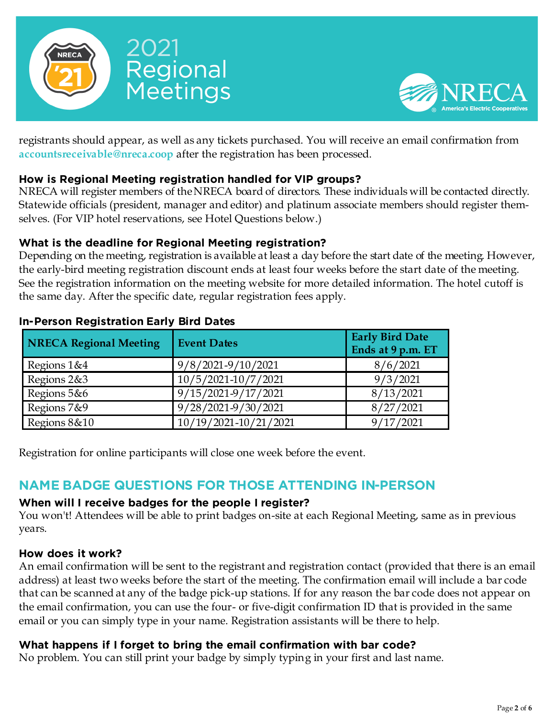



registrants should appear, as well as any tickets purchased. You will receive an email confirmation from **[accountsreceivable@nreca.coop](mailto:accountsreceivable@nreca.coop)** after the registration has been processed.

### **How is Regional Meeting registration handled for VIP groups?**

NRECA will register members of the NRECA board of directors. These individuals will be contacted directly. Statewide officials (president, manager and editor) and platinum associate members should register themselves. (For VIP hotel reservations, see Hotel Questions below.)

### **What is the deadline for Regional Meeting registration?**

Depending on the meeting, registration is available at least a day before the start date of the meeting. However, the early-bird meeting registration discount ends at least four weeks before the start date of the meeting. See the registration information on the meeting website for more detailed information. The hotel cutoff is the same day. After the specific date, regular registration fees apply.

| <b>NRECA Regional Meeting</b> | <b>Event Dates</b>    | <b>Early Bird Date</b><br>Ends at 9 p.m. ET |
|-------------------------------|-----------------------|---------------------------------------------|
| Regions 1&4                   | 9/8/2021-9/10/2021    | 8/6/2021                                    |
| Regions 2&3                   | 10/5/2021-10/7/2021   | 9/3/2021                                    |
| Regions 5&6                   | 9/15/2021-9/17/2021   | 8/13/2021                                   |
| Regions 7&9                   | 9/28/2021-9/30/2021   | 8/27/2021                                   |
| Regions 8&10                  | 10/19/2021-10/21/2021 | 9/17/2021                                   |

### **In-Person Registration Early Bird Dates**

Registration for online participants will close one week before the event.

# **NAME BADGE QUESTIONS FOR THOSE ATTENDING IN-PERSON**

### **When will I receive badges for the people I register?**

You won't! Attendees will be able to print badges on-site at each Regional Meeting, same as in previous years.

### **How does it work?**

An email confirmation will be sent to the registrant and registration contact (provided that there is an email address) at least two weeks before the start of the meeting. The confirmation email will include a bar code that can be scanned at any of the badge pick-up stations. If for any reason the bar code does not appear on the email confirmation, you can use the four- or five-digit confirmation ID that is provided in the same email or you can simply type in your name. Registration assistants will be there to help.

### **What happens if I forget to bring the email confirmation with bar code?**

No problem. You can still print your badge by simply typing in your first and last name.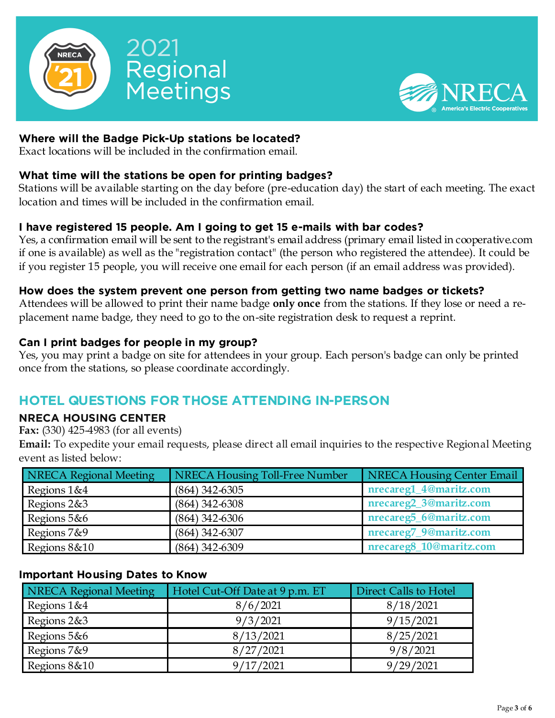



### **Where will the Badge Pick-Up stations be located?**

Exact locations will be included in the confirmation email.

### **What time will the stations be open for printing badges?**

Stations will be available starting on the day before (pre-education day) the start of each meeting. The exact location and times will be included in the confirmation email.

### **I have registered 15 people. Am I going to get 15 e-mails with bar codes?**

Yes, a confirmation email will be sent to the registrant's email address (primary email listed in cooperative.com if one is available) as well as the "registration contact" (the person who registered the attendee). It could be if you register 15 people, you will receive one email for each person (if an email address was provided).

### **How does the system prevent one person from getting two name badges or tickets?**

Attendees will be allowed to print their name badge **only once** from the stations. If they lose or need a replacement name badge, they need to go to the on-site registration desk to request a reprint.

### **Can I print badges for people in my group?**

Yes, you may print a badge on site for attendees in your group. Each person's badge can only be printed once from the stations, so please coordinate accordingly.

# **HOTEL QUESTIONS FOR THOSE ATTENDING IN-PERSON**

### **NRECA HOUSING CENTER**

**Fax:** (330) 425-4983 (for all events)

**Email:** To expedite your email requests, please direct all email inquiries to the respective Regional Meeting event as listed below:

| <b>NRECA Regional Meeting</b> | NRECA Housing Toll-Free Number | NRECA Housing Center Email |
|-------------------------------|--------------------------------|----------------------------|
| Regions 1&4                   | $(864)$ 342-6305               | nrecareg1_4@maritz.com     |
| Regions 2&3                   | $(864)$ 342-6308               | nrecareg2_3@maritz.com     |
| Regions 5&6                   | $(864)$ 342-6306               | nrecareg5_6@maritz.com     |
| Regions 7&9                   | $(864)$ 342-6307               | nrecareg7_9@maritz.com     |
| Regions 8&10                  | $(864)$ 342-6309               | nrecareg8_10@maritz.com    |

### **Important Housing Dates to Know**

| NRECA Regional Meeting | Hotel Cut-Off Date at 9 p.m. ET | <b>Direct Calls to Hotel</b> |
|------------------------|---------------------------------|------------------------------|
| Regions 1&4            | 8/6/2021                        | 8/18/2021                    |
| Regions 2&3            | 9/3/2021                        | 9/15/2021                    |
| Regions 5&6            | 8/13/2021                       | 8/25/2021                    |
| Regions 7&9            | 8/27/2021                       | 9/8/2021                     |
| Regions 8&10           | 9/17/2021                       | 9/29/2021                    |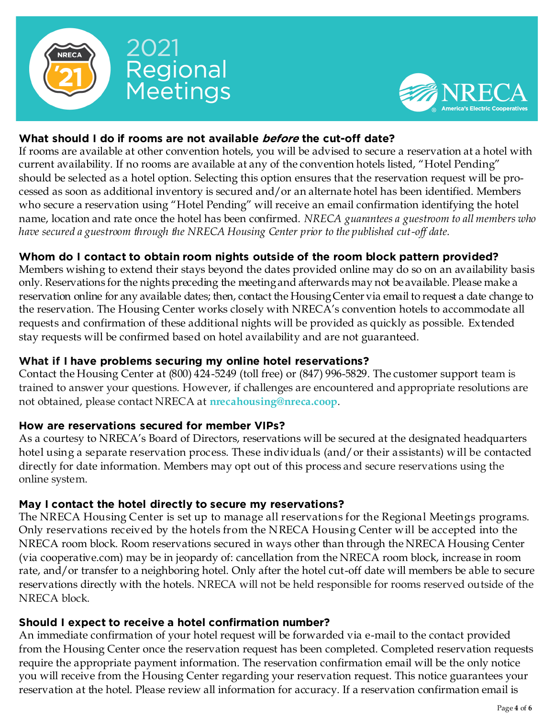



### **What should I do if rooms are not available before the cut-off date?**

If rooms are available at other convention hotels, you will be advised to secure a reservation at a hotel with current availability. If no rooms are available at any of the convention hotels listed, "Hotel Pending" should be selected as a hotel option. Selecting this option ensures that the reservation request will be processed as soon as additional inventory is secured and/or an alternate hotel has been identified. Members who secure a reservation using "Hotel Pending" will receive an email confirmation identifying the hotel name, location and rate once the hotel has been confirmed. *NRECA guarantees a guestroom to all members who have secured a guestroom through the NRECA Housing Center prior to the published cut-off date.*

## **Whom do I contact to obtain room nights outside of the room block pattern provided?**

Members wishing to extend their stays beyond the dates provided online may do so on an availability basis only. Reservations for the nights preceding the meeting and afterwards may not be available. Please make a reservation online for any available dates; then, contact the Housing Center via email to request a date change to the reservation. The Housing Center works closely with NRECA's convention hotels to accommodate all requests and confirmation of these additional nights will be provided as quickly as possible. Extended stay requests will be confirmed based on hotel availability and are not guaranteed.

### **What if I have problems securing my online hotel reservations?**

Contact the Housing Center at (800) 424-5249 (toll free) or (847) 996-5829. The customer support team is trained to answer your questions. However, if challenges are encountered and appropriate resolutions are not obtained, please contact NRECA at **[nrecahousing@nreca.coop](mailto:nrecahousing@nreca.coop)**.

### **How are reservations secured for member VIPs?**

As a courtesy to NRECA's Board of Directors, reservations will be secured at the designated headquarters hotel using a separate reservation process. These individuals (and/or their assistants) will be contacted directly for date information. Members may opt out of this process and secure reservations using the online system.

## **May I contact the hotel directly to secure my reservations?**

The NRECA Housing Center is set up to manage all reservations for the Regional Meetings programs. Only reservations received by the hotels from the NRECA Housing Center will be accepted into the NRECA room block. Room reservations secured in ways other than through the NRECA Housing Center (via cooperative.com) may be in jeopardy of: cancellation from the NRECA room block, increase in room rate, and/or transfer to a neighboring hotel. Only after the hotel cut-off date will members be able to secure reservations directly with the hotels. NRECA will not be held responsible for rooms reserved outside of the NRECA block.

### **Should I expect to receive a hotel confirmation number?**

An immediate confirmation of your hotel request will be forwarded via e-mail to the contact provided from the Housing Center once the reservation request has been completed. Completed reservation requests require the appropriate payment information. The reservation confirmation email will be the only notice you will receive from the Housing Center regarding your reservation request. This notice guarantees your reservation at the hotel. Please review all information for accuracy. If a reservation confirmation email is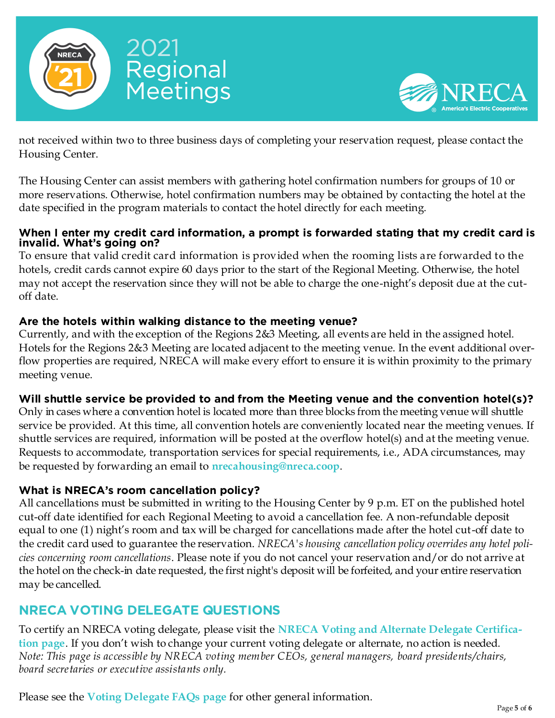



not received within two to three business days of completing your reservation request, please contact the Housing Center.

The Housing Center can assist members with gathering hotel confirmation numbers for groups of 10 or more reservations. Otherwise, hotel confirmation numbers may be obtained by contacting the hotel at the date specified in the program materials to contact the hotel directly for each meeting.

### **When I enter my credit card information, a prompt is forwarded stating that my credit card is invalid. What's going on?**

To ensure that valid credit card information is provided when the rooming lists are forwarded to the hotels, credit cards cannot expire 60 days prior to the start of the Regional Meeting. Otherwise, the hotel may not accept the reservation since they will not be able to charge the one-night's deposit due at the cutoff date.

### **Are the hotels within walking distance to the meeting venue?**

Currently, and with the exception of the Regions 2&3 Meeting, all events are held in the assigned hotel. Hotels for the Regions 2&3 Meeting are located adjacent to the meeting venue. In the event additional overflow properties are required, NRECA will make every effort to ensure it is within proximity to the primary meeting venue.

## **Will shuttle service be provided to and from the Meeting venue and the convention hotel(s)?**

Only in cases where a convention hotel is located more than three blocks from the meeting venue will shuttle service be provided. At this time, all convention hotels are conveniently located near the meeting venues. If shuttle services are required, information will be posted at the overflow hotel(s) and at the meeting venue. Requests to accommodate, transportation services for special requirements, i.e., ADA circumstances, may be requested by forwarding an email to **[nrecahousing@nreca.coop](mailto:nrecahousing@nreca.coop)**.

## **What is NRECA's room cancellation policy?**

All cancellations must be submitted in writing to the Housing Center by 9 p.m. ET on the published hotel cut-off date identified for each Regional Meeting to avoid a cancellation fee. A non-refundable deposit equal to one (1) night's room and tax will be charged for cancellations made after the hotel cut-off date to the credit card used to guarantee the reservation. *NRECA's housing cancellation policy overrides any hotel policies concerning room cancellations*. Please note if you do not cancel your reservation and/or do not arrive at the hotel on the check-in date requested, the first night's deposit will be forfeited, and your entire reservation may be cancelled.

# **NRECA VOTING DELEGATE QUESTIONS**

To certify an NRECA voting delegate, please visit the **[NRECA Voting and Alternate Delegate Certifica](https://www.cooperative.com/nreca/member-resolutions/Pages/Secure/Voting-Delegate-Certification.aspx)[tion page](https://www.cooperative.com/nreca/member-resolutions/Pages/Secure/Voting-Delegate-Certification.aspx)**. If you don't wish to change your current voting delegate or alternate, no action is needed. *Note: This page is accessible by NRECA voting member CEOs, general managers, board presidents/chairs, board secretaries or executive assistants only.* 

Please see the **[Voting Delegate FAQs page](https://www.cooperative.com/nreca/member-resolutions/Pages/Secure/Voting-Delegate-FAQs.aspx)** for other general information.